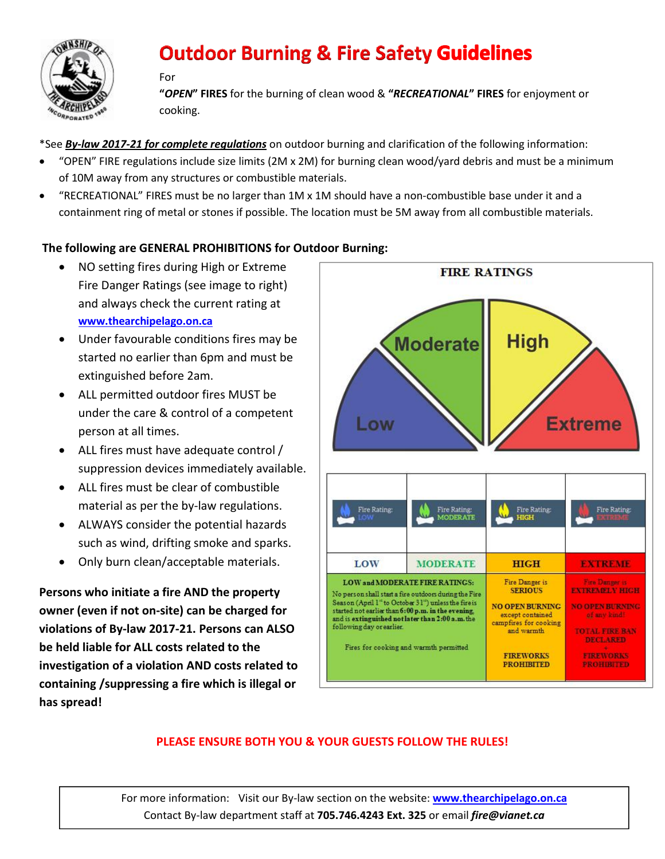

## **Outdoor Burning & Fire Safety Guidelines**

#### For

"*OPEN*" FIRES for the burning of clean wood & "*RECREATIONAL*" FIRES for enjoyment or cooking.

\*See *By-law 2017-21 for complete regulations* on outdoor burning and clarification of the following information:

- "OPEN" FIRE regulations include size limits (2M x 2M) for burning clean wood/yard debris and must be a minimum of 10M away from any structures or combustible materials.
- "RECREATIONAL" FIRES must be no larger than 1M x 1M should have a non-combustible base under it and a containment ring of metal or stones if possible. The location must be 5M away from all combustible materials.

#### The following are GENERAL PROHIBITIONS for Outdoor Burning:

- NO setting fires during High or Extreme Fire Danger Ratings (see image to right) and always check the current rating at [www.thearchipelago.on.ca](http://www.thearchipelago.on.ca/)
- Under favourable conditions fires may be started no earlier than 6pm and must be extinguished before 2am.
- ALL permitted outdoor fires MUST be under the care & control of a competent person at all times.
- ALL fires must have adequate control / suppression devices immediately available.
- ALL fires must be clear of combustible material as per the by-law regulations.
- ALWAYS consider the potential hazards such as wind, drifting smoke and sparks.
- Only burn clean/acceptable materials.

Persons who initiate a fire AND the property owner (even if not on-site) can be charged for violations of By-law 2017-21. Persons can ALSO be held liable for ALL costs related to the investigation of a violation AND costs related to containing /suppressing a fire which is illegal or has spread!



### PLEASE ENSURE BOTH YOU & YOUR GUESTS FOLLOW THE RULES!

For more information: Visit our By-law section on the website: www.thearchipelago.on.ca Contact By-law department staff at 705.746.4243 Ext. 325 or email *fire@vianet.ca*